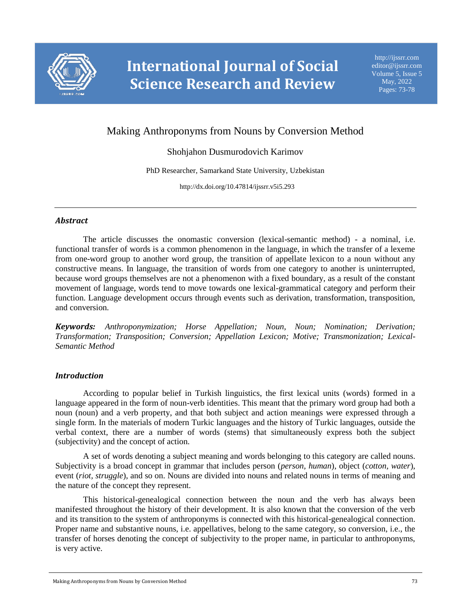

# Making Anthroponyms from Nouns by Conversion Method

## Shohjahon Dusmurodovich Karimov

PhD Researcher, Samarkand State University, Uzbekistan

http://dx.doi.org/10.47814/ijssrr.v5i5.293

#### *Abstract*

The article discusses the onomastic conversion (lexical-semantic method) - a nominal, i.e. functional transfer of words is a common phenomenon in the language, in which the transfer of a lexeme from one-word group to another word group, the transition of appellate lexicon to a noun without any constructive means. In language, the transition of words from one category to another is uninterrupted, because word groups themselves are not a phenomenon with a fixed boundary, as a result of the constant movement of language, words tend to move towards one lexical-grammatical category and perform their function. Language development occurs through events such as derivation, transformation, transposition, and conversion.

*Keywords: Anthroponymization; Horse Appellation; Noun, Noun; Nomination; Derivation; Transformation; Transposition; Conversion; Appellation Lexicon; Motive; Transmonization; Lexical-Semantic Method*

#### *Introduction*

According to popular belief in Turkish linguistics, the first lexical units (words) formed in a language appeared in the form of noun-verb identities. This meant that the primary word group had both a noun (noun) and a verb property, and that both subject and action meanings were expressed through a single form. In the materials of modern Turkic languages and the history of Turkic languages, outside the verbal context, there are a number of words (stems) that simultaneously express both the subject (subjectivity) and the concept of action.

A set of words denoting a subject meaning and words belonging to this category are called nouns. Subjectivity is a broad concept in grammar that includes person (*person, human*), object (*cotton, water*), event (*riot, struggle*), and so on. Nouns are divided into nouns and related nouns in terms of meaning and the nature of the concept they represent.

This historical-genealogical connection between the noun and the verb has always been manifested throughout the history of their development. It is also known that the conversion of the verb and its transition to the system of anthroponyms is connected with this historical-genealogical connection. Proper name and substantive nouns, i.e. appellatives, belong to the same category, so conversion, i.e., the transfer of horses denoting the concept of subjectivity to the proper name, in particular to anthroponyms, is very active.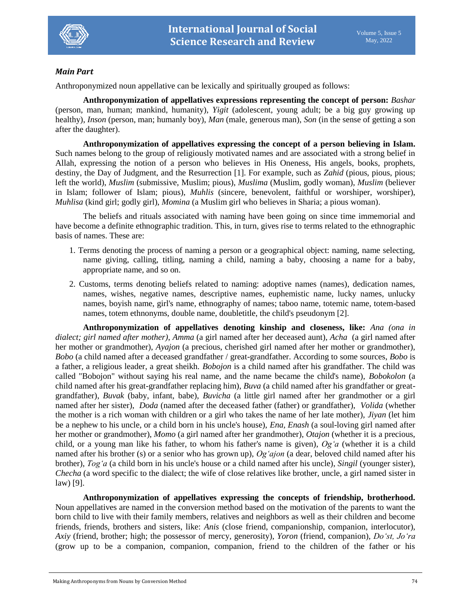

## *Main Part*

Anthroponymized noun appellative can be lexically and spiritually grouped as follows:

**Anthroponymization of appellatives expressions representing the concept of person:** *Bashar* (person, man, human; mankind, humanity), *Yigit* (adolescent, young adult; be a big guy growing up healthy), *Inson* (person, man; humanly boy), *Man* (male, generous man), *Son* (in the sense of getting a son after the daughter).

**Anthroponymization of appellatives expressing the concept of a person believing in Islam.**  Such names belong to the group of religiously motivated names and are associated with a strong belief in Allah, expressing the notion of a person who believes in His Oneness, His angels, books, prophets, destiny, the Day of Judgment, and the Resurrection [1]. For example, such as *Zahid* (pious, pious, pious; left the world), *Muslim* (submissive, Muslim; pious), *Muslima* (Muslim, godly woman), *Muslim* (believer in Islam; follower of Islam; pious), *Muhlis* (sincere, benevolent, faithful or worshiper, worshiper), *Muhlisa* (kind girl; godly girl), *Momina* (a Muslim girl who believes in Sharia; a pious woman).

The beliefs and rituals associated with naming have been going on since time immemorial and have become a definite ethnographic tradition. This, in turn, gives rise to terms related to the ethnographic basis of names. These are:

- 1. Terms denoting the process of naming a person or a geographical object: naming, name selecting, name giving, calling, titling, naming a child, naming a baby, choosing a name for a baby, appropriate name, and so on.
- 2. Customs, terms denoting beliefs related to naming: adoptive names (names), dedication names, names, wishes, negative names, descriptive names, euphemistic name, lucky names, unlucky names, boyish name, girl's name, ethnography of names; taboo name, totemic name, totem-based names, totem ethnonyms, double name, doubletitle, the child's pseudonym [2].

**Anthroponymization of appellatives denoting kinship and closeness, like:** *Ana (ona in dialect; girl named after mother)*, *Amma* (a girl named after her deceased aunt), *Acha* (a girl named after her mother or grandmother), *Ayajon* (a precious, cherished girl named after her mother or grandmother), *Bobo* (a child named after a deceased grandfather / great-grandfather. According to some sources, *Bobo* is a father, a religious leader, a great sheikh. *Bobojon* is a child named after his grandfather. The child was called "Bobojon" without saying his real name, and the name became the child's name), *Bobokolon* (a child named after his great-grandfather replacing him), *Buva* (a child named after his grandfather or greatgrandfather), *Buvak* (baby, infant, babe), *Buvicha* (a little girl named after her grandmother or a girl named after her sister), *Doda* (named after the deceased father (father) or grandfather), *Volida* (whether the mother is a rich woman with children or a girl who takes the name of her late mother), *Jiyan* (let him be a nephew to his uncle, or a child born in his uncle's house), *Ena, Enash* (a soul-loving girl named after her mother or grandmother), *Momo* (a girl named after her grandmother), *Otajon* (whether it is a precious, child, or a young man like his father, to whom his father's name is given), *Og'a* (whether it is a child named after his brother (s) or a senior who has grown up), *Og'ajon* (a dear, beloved child named after his brother), *Tog'a* (a child born in his uncle's house or a child named after his uncle), *Singil* (younger sister), *Checha* (a word specific to the dialect; the wife of close relatives like brother, uncle, a girl named sister in law) [9].

**Anthroponymization of appellatives expressing the concepts of friendship, brotherhood.** Noun appellatives are named in the conversion method based on the motivation of the parents to want the born child to live with their family members, relatives and neighbors as well as their children and become friends, friends, brothers and sisters, like: *Anis* (close friend, companionship, companion, interlocutor), *Axiy* (friend, brother; high; the possessor of mercy, generosity), *Yoron* (friend, companion), *Do'st, Jo'ra* (grow up to be a companion, companion, companion, friend to the children of the father or his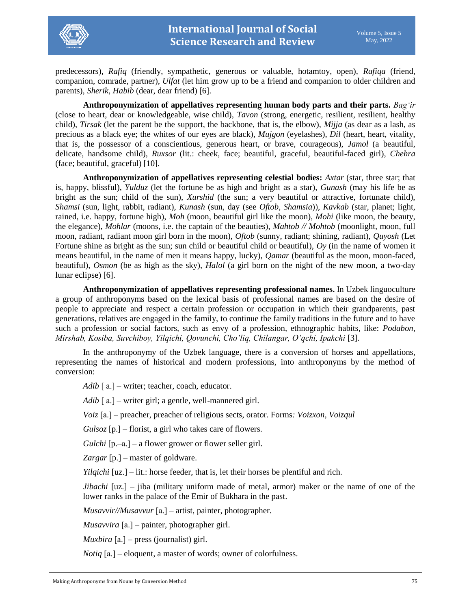

predecessors), *Rafiq* (friendly, sympathetic, generous or valuable, hotamtoy, open), *Rafiqa* (friend, companion, comrade, partner), *Ulfat* (let him grow up to be a friend and companion to older children and parents), *Sherik, Habib* (dear, dear friend) [6].

**Anthroponymization of appellatives representing human body parts and their parts.** *Bag'ir* (close to heart, dear or knowledgeable, wise child), *Tavon* (strong, energetic, resilient, resilient, healthy child), *Tirsak* (let the parent be the support, the backbone, that is, the elbow), *Mijja* (as dear as a lash, as precious as a black eye; the whites of our eyes are black), *Mujgon* (eyelashes), *Dil* (heart, heart, vitality, that is, the possessor of a conscientious, generous heart, or brave, courageous), *Jamol* (a beautiful, delicate, handsome child), *Ruxsor* (lit.: cheek, face; beautiful, graceful, beautiful-faced girl), *Chehra*  (face; beautiful, graceful) [10].

**Anthroponymization of appellatives representing celestial bodies:** *Axtar* (star, three star; that is, happy, blissful), *Yulduz* (let the fortune be as high and bright as a star), *Gunash* (may his life be as bright as the sun; child of the sun), *Xurshid* (the sun; a very beautiful or attractive, fortunate child), *Shamsi* (sun, light, rabbit, radiant), *Kunash* (sun, day (see *Oftob, Shamsia*)), *Kavkab* (star, planet; light, rained, i.e. happy, fortune high), *Moh* (moon, beautiful girl like the moon), *Mohi* (like moon, the beauty, the elegance), *Mohlar* (moons, i.e. the captain of the beauties), *Mahtob // Mohtob* (moonlight, moon, full moon, radiant, radiant moon girl born in the moon), *Oftob* (sunny, radiant; shining, radiant), *Quyosh* (Let Fortune shine as bright as the sun; sun child or beautiful child or beautiful), *Oy* (in the name of women it means beautiful, in the name of men it means happy, lucky), *Qamar* (beautiful as the moon, moon-faced, beautiful), *Osmon* (be as high as the sky), *Halol* (a girl born on the night of the new moon, a two-day lunar eclipse) [6].

**Anthroponymization of appellatives representing professional names.** In Uzbek linguoculture a group of anthroponyms based on the lexical basis of professional names are based on the desire of people to appreciate and respect a certain profession or occupation in which their grandparents, past generations, relatives are engaged in the family, to continue the family traditions in the future and to have such a profession or social factors, such as envy of a profession, ethnographic habits, like: *Podabon, Mirshab, Kosiba, Suvchiboy, Yilqichi, Qovunchi, Cho'liq, Chilangar, O'qchi, Ipakchi* [3].

In the anthroponymy of the Uzbek language, there is a conversion of horses and appellations, representing the names of historical and modern professions, into anthroponyms by the method of conversion:

*Adib*  $\lceil a \rceil$  – writer; teacher, coach, educator.

*Adib* [ a.] – writer girl; a gentle, well-mannered girl.

*Voiz* [а.] – preacher, preacher of religious sects, orator. Forms*: Voizxon, Voizqul*

*Gulsoz* [p.] – florist, a girl who takes care of flowers.

*Gulchi* [p.–а.] – a flower grower or flower seller girl.

*Zargar* [p.] – master of goldware.

*Yilqichi* [uz.] – lit.: horse feeder, that is, let their horses be plentiful and rich.

*Jibachi* [uz.] – jiba (military uniform made of metal, armor) maker or the name of one of the lower ranks in the palace of the Emir of Bukhara in the past.

*Musavvir//Musavvur* [а.] – artist, painter, photographer.

*Musavvira* [а.] – painter, photographer girl.

*Muxbira* [а.] – press (journalist) girl.

*Notiq* [а.] – eloquent, a master of words; owner of colorfulness.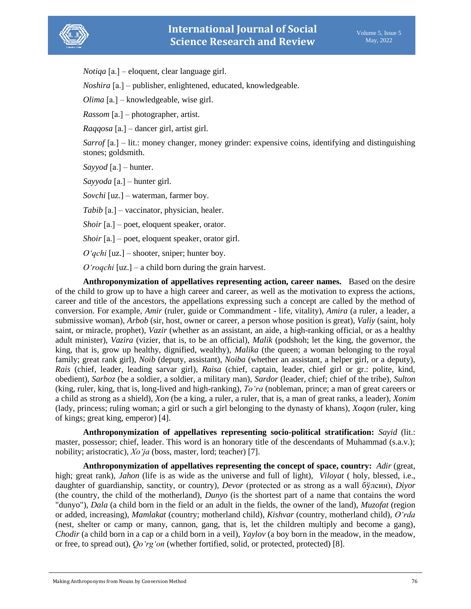

*Notiqa* [а.] – eloquent, clear language girl.

*Noshira* [а.] – publisher, enlightened, educated, knowledgeable.

*Olima* [а.] – knowledgeable, wise girl.

*Rassom* [a.] – photographer, artist.

*Raqqosa* [а.] – dancer girl, artist girl.

*Sarrof* [а.] – lit.: money changer, money grinder: expensive coins, identifying and distinguishing stones; goldsmith.

*Sayyod* [а.] – hunter.

*Sayyoda* [а.] – hunter girl.

*Sovchi* [uz.] – waterman, farmer boy.

*Tabib* [a.] – vaccinator, physician, healer.

*Shoir* [a.] – poet, eloquent speaker, orator.

*Shoir* [a.] – poet, eloquent speaker, orator girl.

*O'qchi* [uz.] – shooter, sniper; hunter boy.

*O'roqchi* [uz.] – a child born during the grain harvest.

**Anthroponymization of appellatives representing action, career names.** Based on the desire of the child to grow up to have a high career and career, as well as the motivation to express the actions, career and title of the ancestors, the appellations expressing such a concept are called by the method of conversion. For example, *Amir* (ruler, guide or Commandment - life, vitality), *Amira* (a ruler, a leader, a submissive woman), *Arbob* (sir, host, owner or career, a person whose position is great), *Valiy* (saint, holy saint, or miracle, prophet), *Vazir* (whether as an assistant, an aide, a high-ranking official, or as a healthy adult minister), *Vazira* (vizier, that is, to be an official), *Malik* (podshoh; let the king, the governor, the king, that is, grow up healthy, dignified, wealthy), *Malika* (the queen; a woman belonging to the royal family; great rank girl), *Noib* (deputy, assistant), *Noiba* (whether an assistant, a helper girl, or a deputy), *Rais* (chief, leader, leading sarvar girl), *Raisa* (chief, captain, leader, chief girl or gr.: polite, kind, obedient), *Sarboz* (be a soldier, a soldier, a military man), *Sardor* (leader, chief; chief of the tribe), *Sulton* (king, ruler, king, that is, long-lived and high-ranking), *To'ra* (nobleman, prince; a man of great careers or a child as strong as a shield), *Xon* (be a king, a ruler, a ruler, that is, a man of great ranks, a leader), *Xonim* (lady, princess; ruling woman; a girl or such a girl belonging to the dynasty of khans), *Xoqon* (ruler, king of kings; great king, emperor) [4].

**Anthroponymization of appellatives representing socio-political stratification:** *Sayid* (lit.: master, possessor; chief, leader. This word is an honorary title of the descendants of Muhammad (s.a.v.); nobility; aristocratic), *Xo'ja* (boss, master, lord; teacher) [7].

**Anthroponymization of appellatives representing the concept of space, country:** *Adir* (great, high; great rank), *Jahon* (life is as wide as the universe and full of light), *Viloyat* (holy, blessed, i.e., daughter of guardianship, sanctity, or country), *Devor* (protected or as strong as a wall бўлсин), *Diyor* (the country, the child of the motherland), *Dunyo* (is the shortest part of a name that contains the word "dunyo"), *Dala* (a child born in the field or an adult in the fields, the owner of the land), *Muzofat* (region or added, increasing), *Mamlakat* (country; motherland child), *Kishvar* (country, motherland child), *O'rda* (nest, shelter or camp or many, cannon, gang, that is, let the children multiply and become a gang), *Chodir* (a child born in a cap or a child born in a veil), *Yaylov* (a boy born in the meadow, in the meadow, or free, to spread out), *Qo'rg'on* (whether fortified, solid, or protected, protected) [8].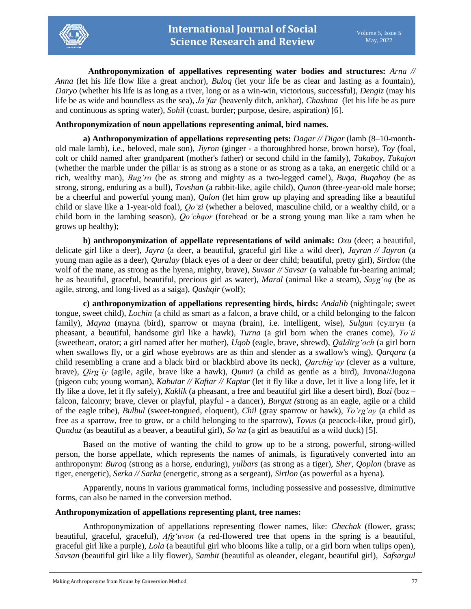

**Anthroponymization of appellatives representing water bodies and structures:** *Arna // Anna* (let his life flow like a great anchor), *Buloq* (let your life be as clear and lasting as a fountain), *Daryo* (whether his life is as long as a river, long or as a win-win, victorious, successful), *Dengiz* (may his life be as wide and boundless as the sea), *Ja'far* (heavenly ditch, ankhar), *Chashma* (let his life be as pure and continuous as spring water), *Sohil* (coast, border; purpose, desire, aspiration) [6].

### **Anthroponymization of noun appellations representing animal, bird names.**

**a) Anthroponymization of appellations representing pets:** *Dagar // Digar* (lamb (8–10-monthold male lamb), i.e., beloved, male son), *Jiyron* (ginger - a thoroughbred horse, brown horse), *Toy* (foal, colt or child named after grandparent (mother's father) or second child in the family), *Takaboy, Takajon* (whether the marble under the pillar is as strong as a stone or as strong as a taka, an energetic child or a rich, wealthy man), *Bug'ro* (be as strong and mighty as a two-legged camel), *Buqa, Buqaboy* (be as strong, strong, enduring as a bull), *Tovshan* (a rabbit-like, agile child), *Qunon* (three-year-old male horse; be a cheerful and powerful young man), *Qulon* (let him grow up playing and spreading like a beautiful child or slave like a 1-year-old foal), *Qo'zi* (whether a beloved, masculine child, or a wealthy child, or a child born in the lambing season), *Qo'chqor* (forehead or be a strong young man like a ram when he grows up healthy);

**b) anthroponymization of appellate representations of wild animals:** *Oxu* (deer; a beautiful, delicate girl like a deer), *Jayra* (a deer, a beautiful, graceful girl like a wild deer), *Jayran // Jayron* (a young man agile as a deer), *Quralay* (black eyes of a deer or deer child; beautiful, pretty girl), *Sirtlon* (the wolf of the mane, as strong as the hyena, mighty, brave), *Suvsar // Savsar* (a valuable fur-bearing animal; be as beautiful, graceful, beautiful, precious girl as water), *Maral* (animal like a steam), *Sayg'oq* (be as agile, strong, and long-lived as a saiga), *Qashqir* (wolf);

**c) anthroponymization of appellations representing birds, birds:** *Andalib* (nightingale; sweet tongue, sweet child), *Lochin* (a child as smart as a falcon, a brave child, or a child belonging to the falcon family), *Mayna* (mayna (bird), sparrow or mayna (brain), i.e. intelligent, wise), *Sulgun* (сулгун (a pheasant, a beautiful, handsome girl like a hawk), *Turna* (a girl born when the cranes come), *To'ti*  (sweetheart, orator; a girl named after her mother), *Uqob* (eagle, brave, shrewd), *Qaldirg'och* (a girl born when swallows fly, or a girl whose eyebrows are as thin and slender as a swallow's wing), *Qarqara* (a child resembling a crane and a black bird or blackbird above its neck), *Qarchig'ay* (clever as a vulture, brave), *Qirg'iy* (agile, agile, brave like a hawk), *Qumri* (a child as gentle as a bird), Juvona//Jugona (pigeon cub; young woman), *Kabutar // Kaftar // Kaptar* (let it fly like a dove, let it live a long life, let it fly like a dove, let it fly safely), *Kaklik* (a pheasant, a free and beautiful girl like a desert bird), *Bozi* (boz – falcon, falconry; brave, clever or playful, playful - a dancer), *Burgut (*strong as an eagle, agile or a child of the eagle tribe), *Bulbul* (sweet-tongued, eloquent), *Chil* (gray sparrow or hawk), *To'rg'ay* (a child as free as a sparrow, free to grow, or a child belonging to the sparrow), *Tovus* (a peacock-like, proud girl), *Qunduz* (as beautiful as a beaver, a beautiful girl), *So'na* (a girl as beautiful as a wild duck) [5].

Based on the motive of wanting the child to grow up to be a strong, powerful, strong-willed person, the horse appellate, which represents the names of animals, is figuratively converted into an anthroponym: *Buroq* (strong as a horse, enduring), *yulbars* (as strong as a tiger), *Sher, Qoplon* (brave as tiger, energetic), *Serka // Sarka* (energetic, strong as a sergeant), *Sirtlon* (as powerful as a hyena).

Apparently, nouns in various grammatical forms, including possessive and possessive, diminutive forms, can also be named in the conversion method.

### **Anthroponymization of appellations representing plant, tree names:**

Anthroponymization of appellations representing flower names, like: *Chechak* (flower, grass; beautiful, graceful, graceful), *Afg'uvon* (a red-flowered tree that opens in the spring is a beautiful, graceful girl like a purple), *Lola* (a beautiful girl who blooms like a tulip, or a girl born when tulips open), *Savsan* (beautiful girl like a lily flower), *Sambit* (beautiful as oleander, elegant, beautiful girl), *Safsargul*